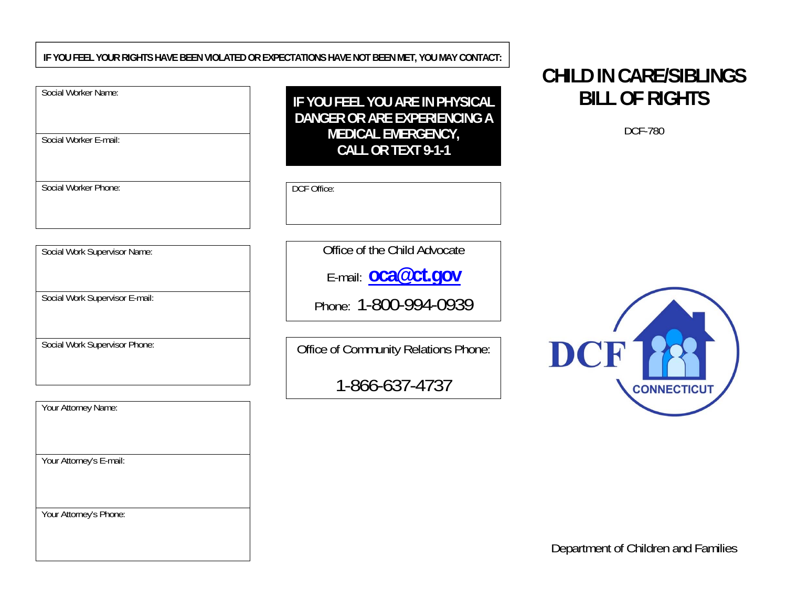#### **IF YOU FEEL YOUR RIGHTS HAVE BEEN VIOLATED OR EXPECTATIONS HAVE NOT BEEN MET, YOU MAY CONTACT:**

| Social Worker Name: |  |  |  |
|---------------------|--|--|--|
|---------------------|--|--|--|

Social Worker E-mail:

Social Worker Phone:

**IF YOU FEEL YOU ARE IN PHYSICAL DANGER OR ARE EXPERIENCING A MEDICAL EMERGENCY, CALL OR TEXT 9-1-1**

DCF Office:

Social Work Supervisor Name:

Social Work Supervisor E-mail:

Social Work Supervisor Phone:

Office of the Child Advocate

E-mail: **oca@ct.gov**

Phone: 1-800-994-0939

Office of Community Relations Phone:

1-866-637-4737

# **CHILD IN CARE/SIBLINGS BILL OF RIGHTS**

DCF-780



| Your Attorney Name:     |
|-------------------------|
|                         |
|                         |
|                         |
| Your Attorney's E-mail: |
|                         |
|                         |
|                         |
| Your Attorney's Phone:  |
|                         |
|                         |

Department of Children and Families